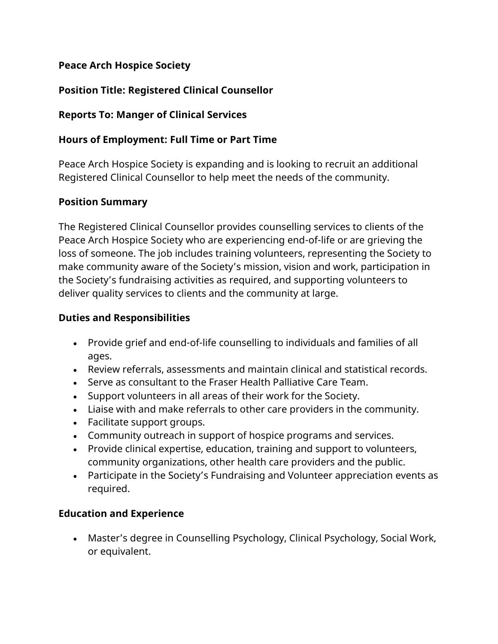## **Peace Arch Hospice Society**

## **Position Title: Registered Clinical Counsellor**

## **Reports To: Manger of Clinical Services**

## **Hours of Employment: Full Time or Part Time**

Peace Arch Hospice Society is expanding and is looking to recruit an additional Registered Clinical Counsellor to help meet the needs of the community.

#### **Position Summary**

The Registered Clinical Counsellor provides counselling services to clients of the Peace Arch Hospice Society who are experiencing end-of-life or are grieving the loss of someone. The job includes training volunteers, representing the Society to make community aware of the Society's mission, vision and work, participation in the Society's fundraising activities as required, and supporting volunteers to deliver quality services to clients and the community at large.

## **Duties and Responsibilities**

- Provide grief and end-of-life counselling to individuals and families of all ages.
- Review referrals, assessments and maintain clinical and statistical records.
- Serve as consultant to the Fraser Health Palliative Care Team.
- Support volunteers in all areas of their work for the Society.
- Liaise with and make referrals to other care providers in the community.
- Facilitate support groups.
- Community outreach in support of hospice programs and services.
- Provide clinical expertise, education, training and support to volunteers, community organizations, other health care providers and the public.
- Participate in the Society's Fundraising and Volunteer appreciation events as required.

# **Education and Experience**

• Master's degree in Counselling Psychology, Clinical Psychology, Social Work, or equivalent.